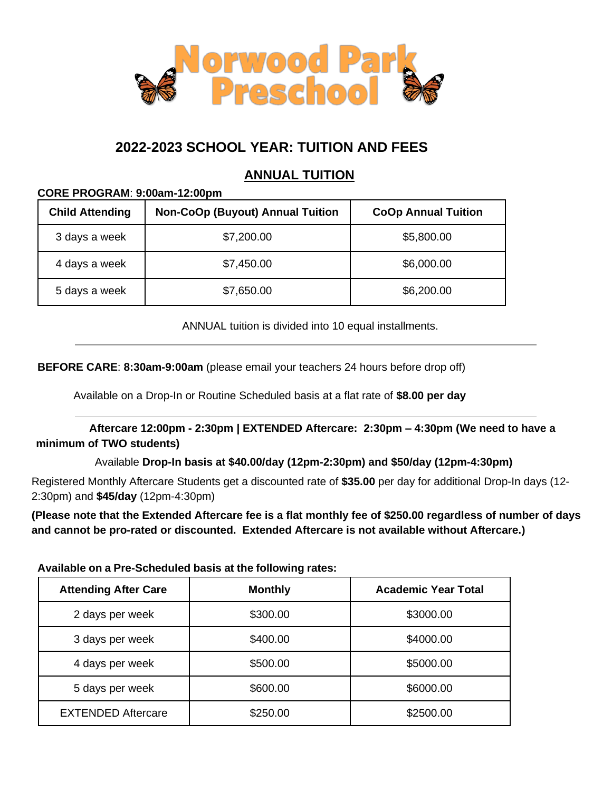

# **2022-2023 SCHOOL YEAR: TUITION AND FEES**

## **ANNUAL TUITION**

#### **CORE PROGRAM**: **9:00am-12:00pm**

| <b>Child Attending</b> | <b>Non-CoOp (Buyout) Annual Tuition</b> | <b>CoOp Annual Tuition</b> |
|------------------------|-----------------------------------------|----------------------------|
| 3 days a week          | \$7,200.00                              | \$5,800.00                 |
| 4 days a week          | \$7,450.00                              | \$6,000.00                 |
| 5 days a week          | \$7,650.00                              | \$6,200.00                 |

ANNUAL tuition is divided into 10 equal installments.

**BEFORE CARE**: **8:30am-9:00am** (please email your teachers 24 hours before drop off)

Available on a Drop-In or Routine Scheduled basis at a flat rate of **\$8.00 per day**

**Aftercare 12:00pm - 2:30pm | EXTENDED Aftercare: 2:30pm – 4:30pm (We need to have a minimum of TWO students)**

Available **Drop-In basis at \$40.00/day (12pm-2:30pm) and \$50/day (12pm-4:30pm)**

Registered Monthly Aftercare Students get a discounted rate of **\$35.00** per day for additional Drop-In days (12- 2:30pm) and **\$45/day** (12pm-4:30pm)

**(Please note that the Extended Aftercare fee is a flat monthly fee of \$250.00 regardless of number of days and cannot be pro-rated or discounted. Extended Aftercare is not available without Aftercare.)**

**Available on a Pre-Scheduled basis at the following rates:**

| <b>Attending After Care</b> | <b>Monthly</b> | <b>Academic Year Total</b> |
|-----------------------------|----------------|----------------------------|
| 2 days per week             | \$300.00       | \$3000.00                  |
| 3 days per week             | \$400.00       | \$4000.00                  |
| 4 days per week             | \$500.00       | \$5000.00                  |
| 5 days per week             | \$600.00       | \$6000.00                  |
| <b>EXTENDED Aftercare</b>   | \$250.00       | \$2500.00                  |